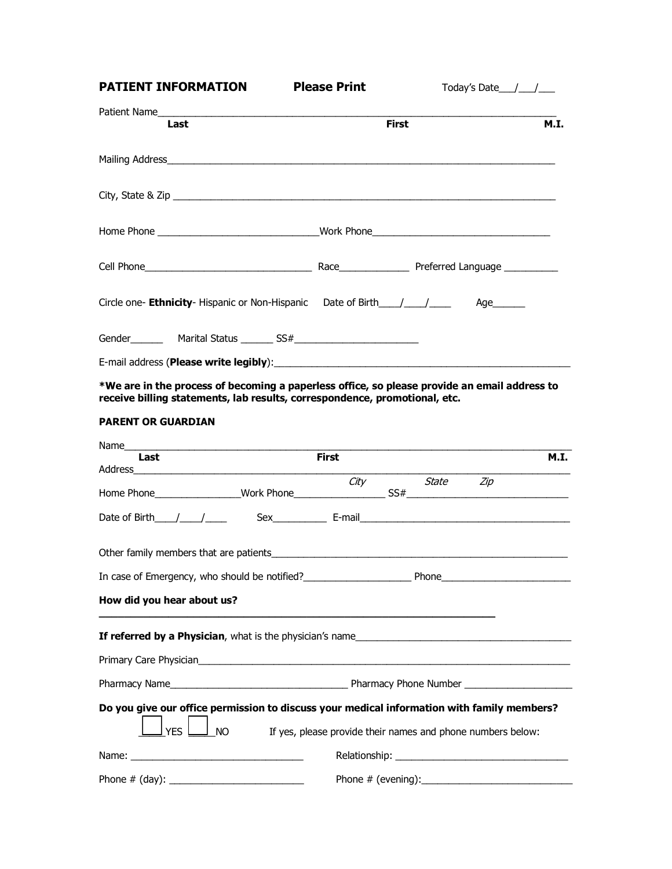| <b>PATIENT INFORMATION Please Print</b>                                             |              | Today's Date $/$ / |             |
|-------------------------------------------------------------------------------------|--------------|--------------------|-------------|
|                                                                                     |              |                    |             |
| Last                                                                                | <b>First</b> |                    | <b>M.I.</b> |
|                                                                                     |              |                    |             |
|                                                                                     |              |                    |             |
|                                                                                     |              |                    |             |
|                                                                                     |              |                    |             |
| Circle one- <b>Ethnicity</b> - Hispanic or Non-Hispanic Date of Birth____/____/____ |              | Age_______         |             |
|                                                                                     |              |                    |             |
|                                                                                     |              |                    |             |

**\*We are in the process of becoming a paperless office, so please provide an email address to receive billing statements, lab results, correspondence, promotional, etc.**

### **PARENT OR GUARDIAN**

| Last                                                                                       |                                                                | <b>First</b> |                | <b>M.I.</b> |
|--------------------------------------------------------------------------------------------|----------------------------------------------------------------|--------------|----------------|-------------|
|                                                                                            |                                                                |              | City State Zip |             |
|                                                                                            |                                                                |              |                |             |
|                                                                                            |                                                                |              |                |             |
|                                                                                            |                                                                |              |                |             |
|                                                                                            |                                                                |              |                |             |
| How did you hear about us?                                                                 |                                                                |              |                |             |
|                                                                                            |                                                                |              |                |             |
|                                                                                            |                                                                |              |                |             |
|                                                                                            |                                                                |              |                |             |
| Do you give our office permission to discuss your medical information with family members? |                                                                |              |                |             |
| <b>YES</b>                                                                                 | NO If yes, please provide their names and phone numbers below: |              |                |             |
|                                                                                            |                                                                |              |                |             |
|                                                                                            |                                                                |              |                |             |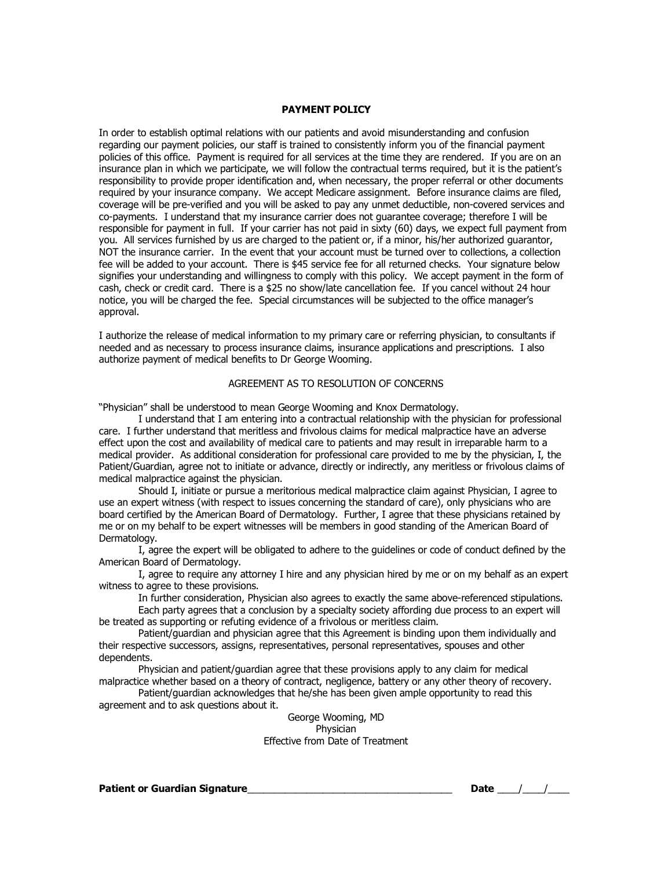### **PAYMENT POLICY**

In order to establish optimal relations with our patients and avoid misunderstanding and confusion regarding our payment policies, our staff is trained to consistently inform you of the financial payment policies of this office. Payment is required for all services at the time they are rendered. If you are on an insurance plan in which we participate, we will follow the contractual terms required, but it is the patient's responsibility to provide proper identification and, when necessary, the proper referral or other documents required by your insurance company. We accept Medicare assignment. Before insurance claims are filed, coverage will be pre-verified and you will be asked to pay any unmet deductible, non-covered services and co-payments. I understand that my insurance carrier does not guarantee coverage; therefore I will be responsible for payment in full. If your carrier has not paid in sixty (60) days, we expect full payment from you. All services furnished by us are charged to the patient or, if a minor, his/her authorized guarantor, NOT the insurance carrier. In the event that your account must be turned over to collections, a collection fee will be added to your account. There is \$45 service fee for all returned checks. Your signature below signifies your understanding and willingness to comply with this policy. We accept payment in the form of cash, check or credit card. There is a \$25 no show/late cancellation fee. If you cancel without 24 hour notice, you will be charged the fee. Special circumstances will be subjected to the office manager's approval.

I authorize the release of medical information to my primary care or referring physician, to consultants if needed and as necessary to process insurance claims, insurance applications and prescriptions. I also authorize payment of medical benefits to Dr George Wooming.

### AGREEMENT AS TO RESOLUTION OF CONCERNS

"Physician" shall be understood to mean George Wooming and Knox Dermatology.

I understand that I am entering into a contractual relationship with the physician for professional care. I further understand that meritless and frivolous claims for medical malpractice have an adverse effect upon the cost and availability of medical care to patients and may result in irreparable harm to a medical provider. As additional consideration for professional care provided to me by the physician, I, the Patient/Guardian, agree not to initiate or advance, directly or indirectly, any meritless or frivolous claims of medical malpractice against the physician.

Should I, initiate or pursue a meritorious medical malpractice claim against Physician, I agree to use an expert witness (with respect to issues concerning the standard of care), only physicians who are board certified by the American Board of Dermatology. Further, I agree that these physicians retained by me or on my behalf to be expert witnesses will be members in good standing of the American Board of Dermatology.

I, agree the expert will be obligated to adhere to the guidelines or code of conduct defined by the American Board of Dermatology.

I, agree to require any attorney I hire and any physician hired by me or on my behalf as an expert witness to agree to these provisions.

In further consideration, Physician also agrees to exactly the same above-referenced stipulations.

Each party agrees that a conclusion by a specialty society affording due process to an expert will be treated as supporting or refuting evidence of a frivolous or meritless claim.

Patient/guardian and physician agree that this Agreement is binding upon them individually and their respective successors, assigns, representatives, personal representatives, spouses and other dependents.

Physician and patient/guardian agree that these provisions apply to any claim for medical malpractice whether based on a theory of contract, negligence, battery or any other theory of recovery.

Patient/guardian acknowledges that he/she has been given ample opportunity to read this agreement and to ask questions about it.

> George Wooming, MD Physician Effective from Date of Treatment

**Patient or Guardian Signature**\_\_\_\_\_\_\_\_\_\_\_\_\_\_\_\_\_\_\_\_\_\_\_\_\_\_\_\_\_\_\_\_\_\_\_\_\_\_ **Date** \_\_\_\_/\_\_\_\_/\_\_\_\_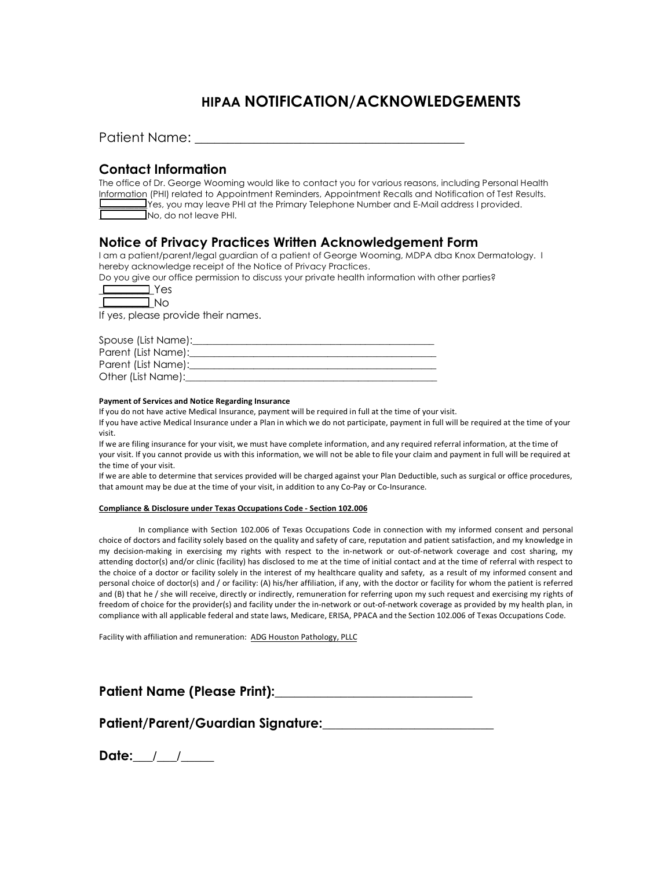# **HIPAA NOTIFICATION/ACKNOWLEDGEMENTS**

| <b>Patient Name:</b> |  |  |
|----------------------|--|--|
|                      |  |  |

## **Contact Information**

| The office of Dr. George Wooming would like to contact you for various reasons, including Personal Health                                                                                                                                                                                                                                   |
|---------------------------------------------------------------------------------------------------------------------------------------------------------------------------------------------------------------------------------------------------------------------------------------------------------------------------------------------|
| Information (PHI) related to Appointment Reminders, Appointment Recalls and Notification of Test Results.                                                                                                                                                                                                                                   |
| $\frac{1}{2}$ Yes, you may leave PHI at the Primary Telephone Number and E-Mail address I provided.<br><u>the community of the community of the community of the community of the community of the community of the community of the community of the community of the community of the community of the community of the community of </u> |
| INo, do not leave PHI.                                                                                                                                                                                                                                                                                                                      |

## **Notice of Privacy Practices Written Acknowledgement Form**

I am a patient/parent/legal guardian of a patient of George Wooming, MDPA dba Knox Dermatology. I hereby acknowledge receipt of the Notice of Privacy Practices.

Do you give our office permission to discuss your private health information with other parties?

If yes, please provide their names.

| Spouse (List Name): |
|---------------------|
| Parent (List Name): |
| Parent (List Name): |
| Other (List Name):  |

#### **Payment of Services and Notice Regarding Insurance**

If you do not have active Medical Insurance, payment will be required in full at the time of your visit.

If you have active Medical Insurance under a Plan in which we do not participate, payment in full will be required at the time of your visit.

If we are filing insurance for your visit, we must have complete information, and any required referral information, at the time of your visit. If you cannot provide us with this information, we will not be able to file your claim and payment in full will be required at the time of your visit.

If we are able to determine that services provided will be charged against your Plan Deductible, such as surgical or office procedures, that amount may be due at the time of your visit, in addition to any Co-Pay or Co-Insurance.

#### **Compliance & Disclosure under Texas Occupations Code - Section 102.006**

In compliance with Section 102.006 of Texas Occupations Code in connection with my informed consent and personal choice of doctors and facility solely based on the quality and safety of care, reputation and patient satisfaction, and my knowledge in my decision-making in exercising my rights with respect to the in-network or out-of-network coverage and cost sharing, my attending doctor(s) and/or clinic (facility) has disclosed to me at the time of initial contact and at the time of referral with respect to the choice of a doctor or facility solely in the interest of my healthcare quality and safety, as a result of my informed consent and personal choice of doctor(s) and / or facility: (A) his/her affiliation, if any, with the doctor or facility for whom the patient is referred and (B) that he / she will receive, directly or indirectly, remuneration for referring upon my such request and exercising my rights of freedom of choice for the provider(s) and facility under the in-network or out-of-network coverage as provided by my health plan, in compliance with all applicable federal and state laws, Medicare, ERISA, PPACA and the Section 102.006 of Texas Occupations Code.

Facility with affiliation and remuneration: ADG Houston Pathology, PLLC

| <b>Patient Name (Please Print):</b> |  |
|-------------------------------------|--|
|-------------------------------------|--|

**Patient/Parent/Guardian Signature:\_\_\_\_\_\_\_\_\_\_\_\_\_\_\_\_\_\_\_\_\_\_\_\_\_\_** 

**Date:\_\_\_/\_\_\_/\_\_\_\_\_**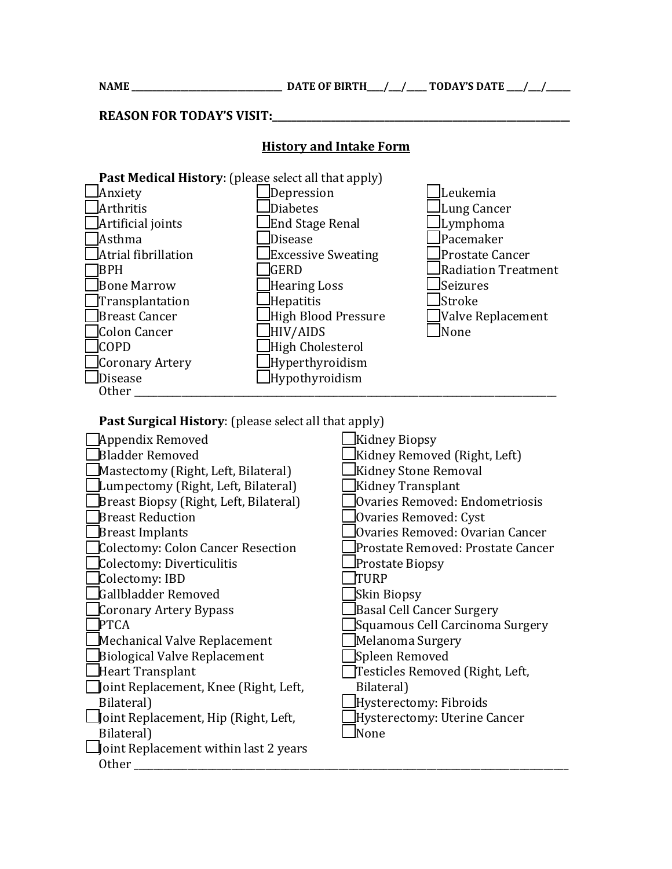**NAME \_\_\_\_\_\_\_\_\_\_\_\_\_\_\_\_\_\_\_\_\_\_\_\_\_\_\_\_\_\_\_\_\_\_\_\_\_ DATE OF BIRTH\_\_\_\_/\_\_\_/\_\_\_\_\_ TODAY'S DATE \_\_\_\_/\_\_\_/\_\_\_\_\_\_**

**REASON FOR TODAY'S VISIT:** 

## **History and Intake Form**



**Past Surgical History:** (please select all that apply)

| Appendix Removed                             | Kidney Biopsy                     |
|----------------------------------------------|-----------------------------------|
| <b>Bladder Removed</b>                       | Kidney Removed (Right, Left)      |
| Mastectomy (Right, Left, Bilateral)          | Kidney Stone Removal              |
| Lumpectomy (Right, Left, Bilateral)          | Kidney Transplant                 |
| Breast Biopsy (Right, Left, Bilateral)       | Ovaries Removed: Endometriosis    |
| <b>Breast Reduction</b>                      | Ovaries Removed: Cyst]            |
| Breast Implants                              | lOvaries Removed: Ovarian Cancer  |
| Colectomy: Colon Cancer Resection            | Prostate Removed: Prostate Cancer |
| Colectomy: Diverticulitis                    | Prostate Biopsy                   |
| Colectomy: IBD                               | TURP                              |
| Gallbladder Removed                          | Skin Biopsy                       |
| Coronary Artery Bypass                       | Basal Cell Cancer Surgery         |
| <b>PTCA</b>                                  | Squamous Cell Carcinoma Surgery   |
| Mechanical Valve Replacement                 | Melanoma Surgery                  |
| Biological Valve Replacement                 | Spleen Removed                    |
| Heart Transplant                             | Testicles Removed (Right, Left,   |
| Joint Replacement, Knee (Right, Left,        | Bilateral)                        |
| Bilateral)                                   | Hysterectomy: Fibroids            |
| Joint Replacement, Hip (Right, Left,         | Hysterectomy: Uterine Cancer      |
| Bilateral)                                   | lNone                             |
| $\Box$ Joint Replacement within last 2 years |                                   |
| <b>Other</b>                                 |                                   |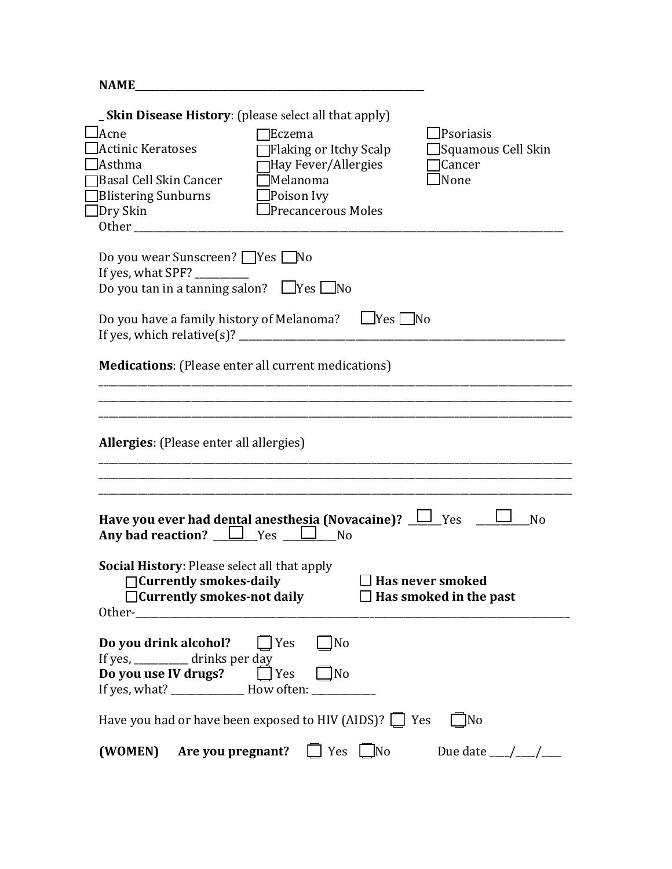| <b>NAME</b>                                                                                                                                                                                                                                                                                                                                                      |
|------------------------------------------------------------------------------------------------------------------------------------------------------------------------------------------------------------------------------------------------------------------------------------------------------------------------------------------------------------------|
| <b>_Skin Disease History:</b> (please select all that apply)<br>Acne<br>lPsoriasis<br>Eczema<br>Actinic Keratoses<br>Flaking or Itchy Scalp<br>Squamous Cell Skin<br>Hay Fever/Allergies<br>Asthma<br>Cancer<br>$\Box$ Melanoma<br>None<br>Basal Cell Skin Cancer<br><b>Blistering Sunburns</b><br>$\Box$ Poison Ivy<br>Precancerous Moles<br>]Dry Skin<br>Other |
| Do you wear Sunscreen? Pres No<br>If yes, what SPF? ________<br>Do you tan in a tanning salon? $\Box$ Yes $\Box$ No<br>Do you have a family history of Melanoma? $\Box$ Yes $\Box$ No                                                                                                                                                                            |
| <b>Medications:</b> (Please enter all current medications)                                                                                                                                                                                                                                                                                                       |
| <b>Allergies:</b> (Please enter all allergies)                                                                                                                                                                                                                                                                                                                   |
|                                                                                                                                                                                                                                                                                                                                                                  |
| Have you ever had dental anesthesia (Novacaine)? $\Box$ Yes<br>N <sub>o</sub><br>Any bad reaction? $\Box$ Yes $\Box$ No<br>Social History: Please select all that apply<br>□ Currently smokes-daily<br>$\Box$ Has never smoked<br>□ Currently smokes-not daily<br>$\Box$ Has smoked in the past<br>Other-                                                        |
| Do you drink alcohol?<br>$\Box$ Yes<br>]No<br>If yes, ___________ drinks per day<br><b>Do you use IV drugs?</b> $\Box$ Yes<br>$\Box$ No<br>If yes, what? _____________ How often: __________                                                                                                                                                                     |
| Have you had or have been exposed to HIV (AIDS)? $\Box$ Yes<br> No                                                                                                                                                                                                                                                                                               |
| Are you pregnant?<br>Yes No<br>Due date $\frac{\mu}{\sigma}$ /<br>(WOMEN)                                                                                                                                                                                                                                                                                        |